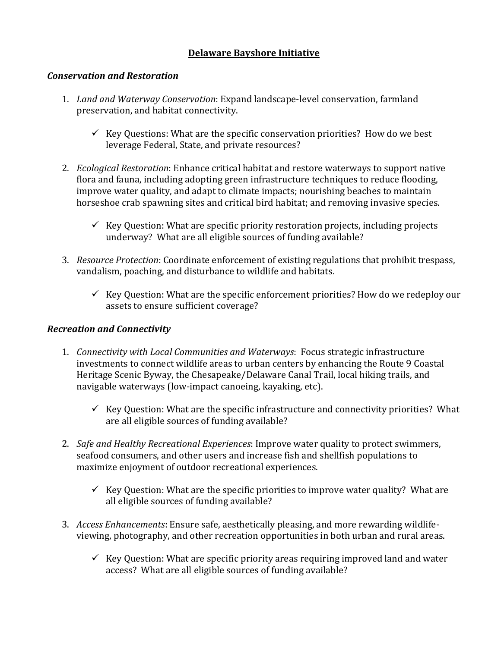## **Delaware Bayshore Initiative**

## *Conservation and Restoration*

- 1. *Land and Waterway Conservation*: Expand landscape-level conservation, farmland preservation, and habitat connectivity.
	- $\checkmark$  Key Questions: What are the specific conservation priorities? How do we best leverage Federal, State, and private resources?
- 2. *Ecological Restoration*: Enhance critical habitat and restore waterways to support native flora and fauna, including adopting green infrastructure techniques to reduce flooding, improve water quality, and adapt to climate impacts; nourishing beaches to maintain horseshoe crab spawning sites and critical bird habitat; and removing invasive species.
	- Key Question: What are specific priority restoration projects, including projects underway? What are all eligible sources of funding available?
- 3. *Resource Protection*: Coordinate enforcement of existing regulations that prohibit trespass, vandalism, poaching, and disturbance to wildlife and habitats.
	- $\checkmark$  Key Question: What are the specific enforcement priorities? How do we redeploy our assets to ensure sufficient coverage?

## *Recreation and Connectivity*

- 1. *Connectivity with Local Communities and Waterways*: Focus strategic infrastructure investments to connect wildlife areas to urban centers by enhancing the Route 9 Coastal Heritage Scenic Byway, the Chesapeake/Delaware Canal Trail, local hiking trails, and navigable waterways (low-impact canoeing, kayaking, etc).
	- Key Question: What are the specific infrastructure and connectivity priorities? What are all eligible sources of funding available?
- 2. *Safe and Healthy Recreational Experiences*: Improve water quality to protect swimmers, seafood consumers, and other users and increase fish and shellfish populations to maximize enjoyment of outdoor recreational experiences.
	- Key Question: What are the specific priorities to improve water quality? What are all eligible sources of funding available?
- 3. *Access Enhancements*: Ensure safe, aesthetically pleasing, and more rewarding wildlifeviewing, photography, and other recreation opportunities in both urban and rural areas.
	- $\checkmark$  Key Question: What are specific priority areas requiring improved land and water access? What are all eligible sources of funding available?